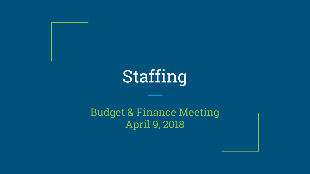# Staffing

Budget & Finance Meeting April 9, 2018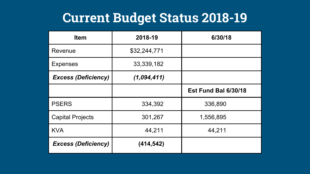### **Current Budget Status 2018-19**

| <b>Item</b>                | 2018-19      | 6/30/18              |
|----------------------------|--------------|----------------------|
| Revenue                    | \$32,244,771 |                      |
| <b>Expenses</b>            | 33,339,182   |                      |
| <b>Excess (Deficiency)</b> | (1,094,411)  |                      |
|                            |              | Est Fund Bal 6/30/18 |
| <b>PSERS</b>               | 334,392      | 336,890              |
| <b>Capital Projects</b>    | 301,267      | 1,556,895            |
| <b>KVA</b>                 | 44,211       | 44,211               |
| <b>Excess (Deficiency)</b> | (414, 542)   |                      |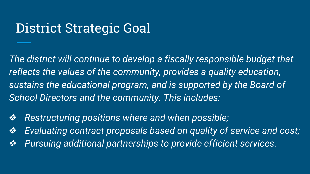### District Strategic Goal

*The district will continue to develop a fiscally responsible budget that reflects the values of the community, provides a quality education, sustains the educational program, and is supported by the Board of School Directors and the community. This includes:*

- ❖*Restructuring positions where and when possible;*
- ❖*Evaluating contract proposals based on quality of service and cost;*
- ❖*Pursuing additional partnerships to provide efficient services.*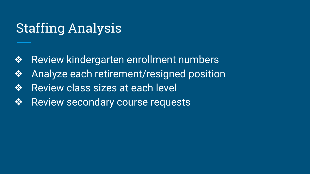## Staffing Analysis

- ❖ Review kindergarten enrollment numbers
- ❖ Analyze each retirement/resigned position
- **❖** Review class sizes at each level
- ❖ Review secondary course requests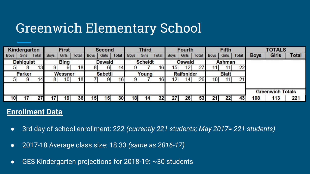## Greenwich Elementary School

|                 | Kindergarten                    |                 |             | <b>First</b>  |              |             | <b>Second</b>  |              |             | <b>Third</b>  |              |             | <b>Fourth</b>     |              |             | Fifth        |              |             | <b>TOTALS</b>           |              |
|-----------------|---------------------------------|-----------------|-------------|---------------|--------------|-------------|----------------|--------------|-------------|---------------|--------------|-------------|-------------------|--------------|-------------|--------------|--------------|-------------|-------------------------|--------------|
| <b>Boys</b>     | Girls                           | <b>Total</b>    | <b>Boys</b> | Girls         | <b>Total</b> | <b>Boys</b> | Girls          | <b>Total</b> | <b>Boys</b> | Girls         | <b>Total</b> | <b>Boys</b> | Girls             | <b>Total</b> | <b>Boys</b> | Girls        | <b>Total</b> | <b>Boys</b> | <b>Girls</b>            | <b>Total</b> |
|                 | <b>Dahlquist</b><br><b>Bing</b> |                 |             | <b>Dewald</b> |              |             | <b>Scheidt</b> |              |             | <b>Oswald</b> |              |             | <b>Ashman</b>     |              |             |              |              |             |                         |              |
|                 |                                 | 13 <sub>1</sub> |             |               | 18           |             |                | 4            |             |               | 16           | 15          |                   |              |             |              | 22           |             |                         |              |
|                 | <b>Parker</b>                   |                 |             | Wessner       |              |             | <b>Sabetti</b> |              |             | Young         |              |             | <b>Raifsnider</b> |              |             | <b>Blatt</b> |              |             |                         |              |
|                 |                                 | 14.             |             | 10            | 18           |             | 9              | 16           |             |               | 16           | 12          | 14                | 26           | 10          |              | 21           |             |                         |              |
|                 |                                 |                 |             |               |              |             |                |              |             |               |              |             |                   |              |             |              |              |             |                         |              |
|                 |                                 |                 |             |               |              |             |                |              |             |               |              |             |                   |              |             |              |              |             | <b>Greenwich Totals</b> |              |
| 10 <sub>1</sub> |                                 |                 |             | 19            | 36           | 15          | 15             |              | 18          | 14            |              | 27          | 26                | 53           | 21          | 22           | 43           | 108         | 113                     | 221          |

- 3rd day of school enrollment: 222 *(currently 221 students; May 2017= 221 students)*
- 2017-18 Average class size: 18.33 *(same as 2016-17)*
- GES Kindergarten projections for 2018-19: ~30 students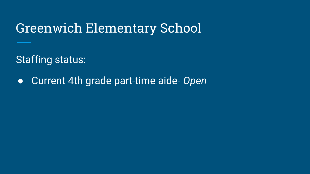#### Greenwich Elementary School

Staffing status:

● Current 4th grade part-time aide- *Open*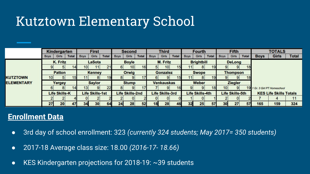## Kutztown Elementary School

|                   | <b>Kindergarten</b> |                      |               |                 |                        |              | <b>Second</b>     |                        | <b>Third</b> |                 | <b>Fourth</b>          |                   | <b>Fifth</b>    |                        |              | <b>TOTALS</b>   |                        |                 |             |                               |              |
|-------------------|---------------------|----------------------|---------------|-----------------|------------------------|--------------|-------------------|------------------------|--------------|-----------------|------------------------|-------------------|-----------------|------------------------|--------------|-----------------|------------------------|-----------------|-------------|-------------------------------|--------------|
|                   | <b>Boys</b>         | Girls                | <b>Total</b>  | <b>Boys</b>     | Girls                  | <b>Total</b> | <b>Boys</b>       | <b>Girls</b>           | <b>Total</b> | <b>Boys</b>     | Girls                  | <b>Total</b>      | <b>Boys</b>     | Girls                  | <b>Total</b> | <b>Boys</b>     | Girls                  | <b>Total</b>    | <b>Boys</b> | Girls                         | <b>Total</b> |
|                   | K. Fritz            |                      |               |                 | <b>LaSota</b>          |              |                   | <b>Boyle</b>           |              | <b>M. Fritz</b> |                        | <b>Brightbill</b> |                 | <b>DeLong</b>          |              |                 |                        |                 |             |                               |              |
|                   |                     |                      | 14.           | 10 <sup>1</sup> | 11                     | 21           |                   | 10 <sub>1</sub>        | 16           |                 | 10 <sub>1</sub>        | 15                |                 |                        |              |                 | 9                      | 18              |             |                               |              |
|                   |                     | <b>Patton</b>        |               |                 | <b>Kenney</b>          |              |                   | Orwig                  |              |                 | <b>Gonzalez</b>        |                   |                 | <b>Swope</b>           |              |                 | <b>Thompson</b>        |                 |             |                               |              |
| <b>KUTZTOWN</b>   | 101                 | 51                   | 15            |                 |                        | 19           |                   |                        |              |                 |                        | 15                |                 |                        | 19           |                 |                        | 18              |             |                               |              |
| <b>ELEMENTARY</b> | Yergey              |                      | <b>Saylor</b> |                 | <b>Stump</b>           |              | <b>Venkauskas</b> |                        | Weber        |                 |                        | <b>Ziegler</b>    |                 |                        |              |                 |                        |                 |             |                               |              |
|                   |                     |                      | 14            | 13 <sub>l</sub> |                        | 22           |                   |                        |              |                 |                        | 16                |                 |                        | 18           | 10 <sup>1</sup> | $\overline{9}$         | 19 <sub>1</sub> |             | 1 Gr. 3 Girl PT Homeschool    |              |
|                   |                     | <b>Life Skills-K</b> |               |                 | <b>Life Skills-1st</b> |              |                   | <b>Life Skills-2nd</b> |              |                 | <b>Life Skills-3rd</b> |                   |                 | <b>Life Skills-4th</b> |              |                 | <b>Life Skills-5th</b> |                 |             | <b>KES Life Skills Totals</b> |              |
|                   |                     |                      |               | 01              |                        |              |                   |                        |              |                 |                        |                   |                 |                        |              |                 | 01                     |                 |             |                               | 11           |
|                   | 27                  | 20                   | 47            | 34              | 30                     | 64           | 24                | 28                     | 52           | 18              | 28                     | 46                | 32 <sub>1</sub> | 25                     | 57           | 30              | 27                     | 57              | 165         | 159                           | 324          |

- 3rd day of school enrollment: 323 *(currently 324 students; May 2017= 350 students)*
- 2017-18 Average class size: 18.00 *(2016-17- 18.66)*
- KES Kindergarten projections for 2018-19: ~39 students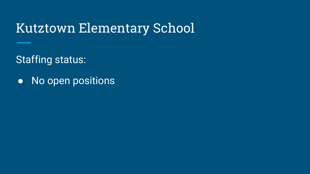#### Kutztown Elementary School

Staffing status:

● No open positions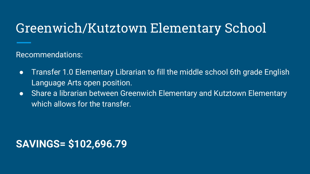### Greenwich/Kutztown Elementary School

Recommendations:

- Transfer 1.0 Elementary Librarian to fill the middle school 6th grade English Language Arts open position.
- Share a librarian between Greenwich Elementary and Kutztown Elementary which allows for the transfer.

#### **SAVINGS= \$102,696.79**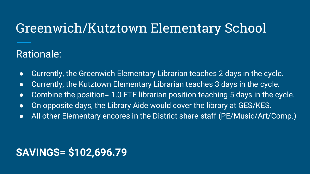## Greenwich/Kutztown Elementary School

#### Rationale:

- Currently, the Greenwich Elementary Librarian teaches 2 days in the cycle.
- Currently, the Kutztown Elementary Librarian teaches 3 days in the cycle.
- Combine the position= 1.0 FTE librarian position teaching 5 days in the cycle.
- On opposite days, the Library Aide would cover the library at GES/KES.
- All other Elementary encores in the District share staff (PE/Music/Art/Comp.)

#### **SAVINGS= \$102,696.79**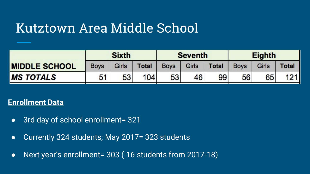|                      |             | <b>Sixth</b> |              |             | <b>Seventh</b> |              | <b>Eighth</b> |       |              |  |  |
|----------------------|-------------|--------------|--------------|-------------|----------------|--------------|---------------|-------|--------------|--|--|
| <b>MIDDLE SCHOOL</b> | <b>Boys</b> | Girls        | <b>Total</b> | <b>Boys</b> | Girls          | <b>Total</b> | <b>Boys</b>   | Girls | <b>Total</b> |  |  |
| <b>MS TOTALS</b>     | 51          | 53           | 104          | 53          | 46             | 99           | 56            | 65    | 121          |  |  |

- 3rd day of school enrollment= 321
- Currently 324 students; May 2017= 323 students
- Next year's enrollment= 303 (-16 students from 2017-18)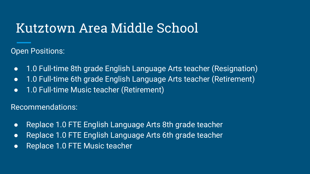Open Positions:

- 1.0 Full-time 8th grade English Language Arts teacher (Resignation)
- 1.0 Full-time 6th grade English Language Arts teacher (Retirement)
- 1.0 Full-time Music teacher (Retirement)

Recommendations:

- Replace 1.0 FTE English Language Arts 8th grade teacher
- Replace 1.0 FTE English Language Arts 6th grade teacher
- Replace 1.0 FTE Music teacher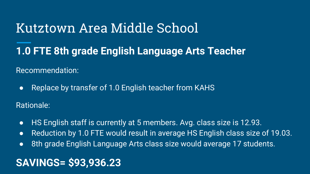#### **1.0 FTE 8th grade English Language Arts Teacher**

Recommendation:

● Replace by transfer of 1.0 English teacher from KAHS

Rationale:

- HS English staff is currently at 5 members. Avg. class size is 12.93.
- Reduction by 1.0 FTE would result in average HS English class size of 19.03.
- 8th grade English Language Arts class size would average 17 students.

#### **SAVINGS= \$93,936.23**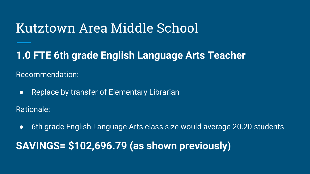#### **1.0 FTE 6th grade English Language Arts Teacher**

Recommendation:

● Replace by transfer of Elementary Librarian

Rationale:

● 6th grade English Language Arts class size would average 20.20 students

**SAVINGS= \$102,696.79 (as shown previously)**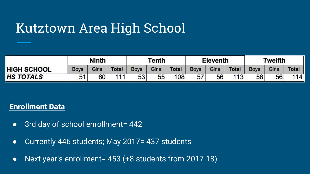## Kutztown Area High School

|                    |             | <b>Ninth</b> |              |             | Tenth |              |             | <b>Eleventh</b> |              | Twelfth     |              |              |
|--------------------|-------------|--------------|--------------|-------------|-------|--------------|-------------|-----------------|--------------|-------------|--------------|--------------|
| <b>HIGH SCHOOL</b> | <b>Boys</b> | Girls        | <b>Total</b> | <b>Boys</b> | Girls | <b>Total</b> | <b>Boys</b> | Girls           | <b>Total</b> | <b>Boys</b> | <b>Girls</b> | <b>Total</b> |
| <b>HS TOTALS</b>   | 51          | 60           | 111          | 53          | 55    | 108          | 57          | 56              | 113          | 58          | 56           | 114          |

- 3rd day of school enrollment= 442
- Currently 446 students; May 2017= 437 students
- Next year's enrollment= 453 (+8 students from 2017-18)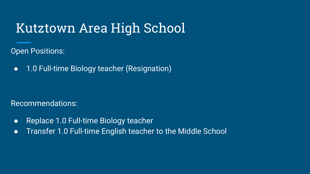## Kutztown Area High School

Open Positions:

● 1.0 Full-time Biology teacher (Resignation)

Recommendations:

- Replace 1.0 Full-time Biology teacher
- Transfer 1.0 Full-time English teacher to the Middle School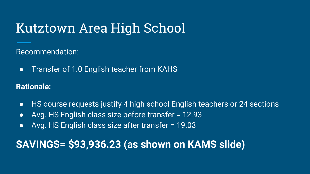## Kutztown Area High School

Recommendation:

● Transfer of 1.0 English teacher from KAHS

**Rationale:** 

- HS course requests justify 4 high school English teachers or 24 sections
- Avg. HS English class size before transfer = 12.93
- Avg. HS English class size after transfer = 19.03

#### **SAVINGS= \$93,936.23 (as shown on KAMS slide)**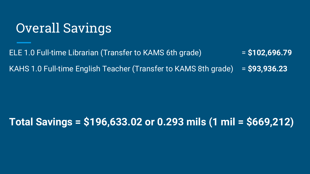### Overall Savings

ELE 1.0 Full-time Librarian (Transfer to KAMS 6th grade) = **\$102,696.79** KAHS 1.0 Full-time English Teacher (Transfer to KAMS 8th grade) = **\$93,936.23**

#### **Total Savings = \$196,633.02 or 0.293 mils (1 mil = \$669,212)**